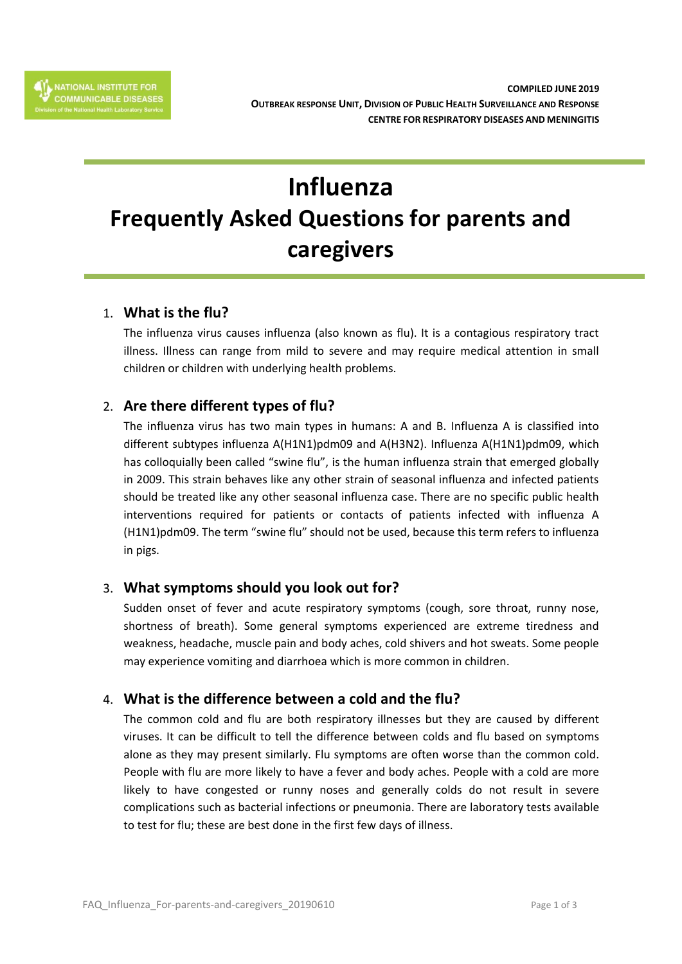# **Influenza Frequently Asked Questions for parents and caregivers**

## 1. **What is the flu?**

The influenza virus causes influenza (also known as flu). It is a contagious respiratory tract illness. Illness can range from mild to severe and may require medical attention in small children or children with underlying health problems.

# 2. **Are there different types of flu?**

The influenza virus has two main types in humans: A and B. Influenza A is classified into different subtypes influenza A(H1N1)pdm09 and A(H3N2). Influenza A(H1N1)pdm09, which has colloquially been called "swine flu", is the human influenza strain that emerged globally in 2009. This strain behaves like any other strain of seasonal influenza and infected patients should be treated like any other seasonal influenza case. There are no specific public health interventions required for patients or contacts of patients infected with influenza A (H1N1)pdm09. The term "swine flu" should not be used, because this term refers to influenza in pigs.

# 3. **What symptoms should you look out for?**

Sudden onset of fever and acute respiratory symptoms (cough, sore throat, runny nose, shortness of breath). Some general symptoms experienced are extreme tiredness and weakness, headache, muscle pain and body aches, cold shivers and hot sweats. Some people may experience vomiting and diarrhoea which is more common in children.

# 4. **What is the difference between a cold and the flu?**

The common cold and flu are both respiratory illnesses but they are caused by different viruses. It can be difficult to tell the difference between colds and flu based on symptoms alone as they may present similarly. Flu symptoms are often worse than the common cold. People with flu are more likely to have a fever and body aches. People with a cold are more likely to have congested or runny noses and generally colds do not result in severe complications such as bacterial infections or pneumonia. There are laboratory tests available to test for flu; these are best done in the first few days of illness.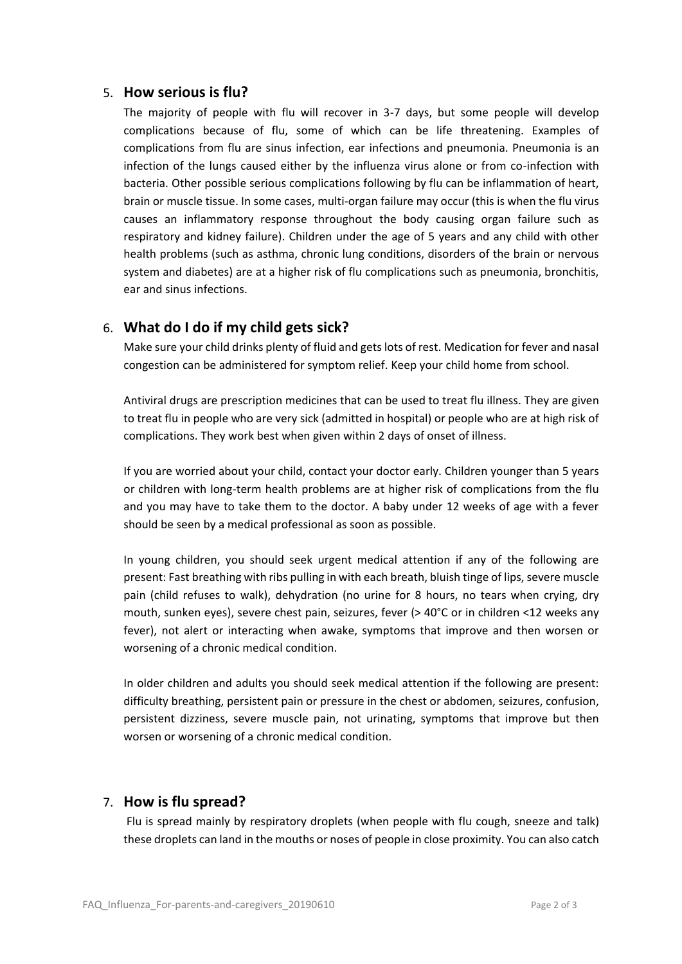#### 5. **How serious is flu?**

The majority of people with flu will recover in 3-7 days, but some people will develop complications because of flu, some of which can be life threatening. Examples of complications from flu are sinus infection, ear infections and pneumonia. Pneumonia is an infection of the lungs caused either by the influenza virus alone or from co-infection with bacteria. Other possible serious complications following by flu can be inflammation of heart, brain or muscle tissue. In some cases, multi-organ failure may occur (this is when the flu virus causes an inflammatory response throughout the body causing organ failure such as respiratory and kidney failure). Children under the age of 5 years and any child with other health problems (such as asthma, chronic lung conditions, disorders of the brain or nervous system and diabetes) are at a higher risk of flu complications such as pneumonia, bronchitis, ear and sinus infections.

## 6. **What do I do if my child gets sick?**

Make sure your child drinks plenty of fluid and gets lots of rest. Medication for fever and nasal congestion can be administered for symptom relief. Keep your child home from school.

Antiviral drugs are prescription medicines that can be used to treat flu illness. They are given to treat flu in people who are very sick (admitted in hospital) or people who are at high risk of complications. They work best when given within 2 days of onset of illness.

If you are worried about your child, contact your doctor early. Children younger than 5 years or children with long-term health problems are at higher risk of complications from the flu and you may have to take them to the doctor. A baby under 12 weeks of age with a fever should be seen by a medical professional as soon as possible.

In young children, you should seek urgent medical attention if any of the following are present: Fast breathing with ribs pulling in with each breath, bluish tinge of lips, severe muscle pain (child refuses to walk), dehydration (no urine for 8 hours, no tears when crying, dry mouth, sunken eyes), severe chest pain, seizures, fever (> 40°C or in children <12 weeks any fever), not alert or interacting when awake, symptoms that improve and then worsen or worsening of a chronic medical condition.

In older children and adults you should seek medical attention if the following are present: difficulty breathing, persistent pain or pressure in the chest or abdomen, seizures, confusion, persistent dizziness, severe muscle pain, not urinating, symptoms that improve but then worsen or worsening of a chronic medical condition.

## 7. **How is flu spread?**

Flu is spread mainly by respiratory droplets (when people with flu cough, sneeze and talk) these droplets can land in the mouths or noses of people in close proximity. You can also catch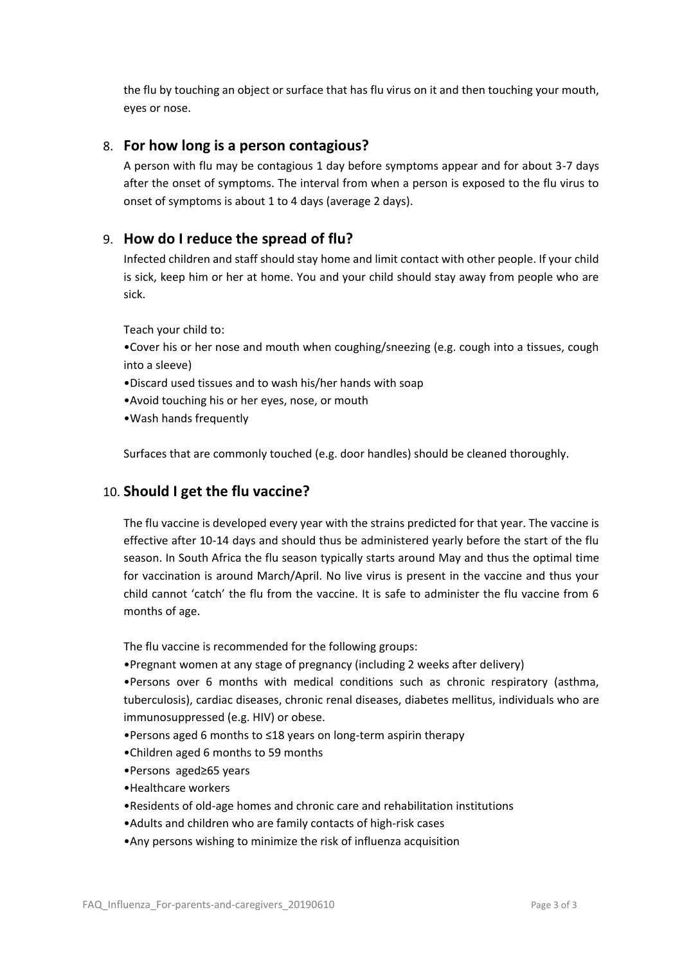the flu by touching an object or surface that has flu virus on it and then touching your mouth, eyes or nose.

### 8. **For how long is a person contagious?**

A person with flu may be contagious 1 day before symptoms appear and for about 3-7 days after the onset of symptoms. The interval from when a person is exposed to the flu virus to onset of symptoms is about 1 to 4 days (average 2 days).

#### 9. **How do I reduce the spread of flu?**

Infected children and staff should stay home and limit contact with other people. If your child is sick, keep him or her at home. You and your child should stay away from people who are sick.

Teach your child to:

•Cover his or her nose and mouth when coughing/sneezing (e.g. cough into a tissues, cough into a sleeve)

- •Discard used tissues and to wash his/her hands with soap
- •Avoid touching his or her eyes, nose, or mouth
- •Wash hands frequently

Surfaces that are commonly touched (e.g. door handles) should be cleaned thoroughly.

#### 10. **Should I get the flu vaccine?**

The flu vaccine is developed every year with the strains predicted for that year. The vaccine is effective after 10-14 days and should thus be administered yearly before the start of the flu season. In South Africa the flu season typically starts around May and thus the optimal time for vaccination is around March/April. No live virus is present in the vaccine and thus your child cannot 'catch' the flu from the vaccine. It is safe to administer the flu vaccine from 6 months of age.

The flu vaccine is recommended for the following groups:

•Pregnant women at any stage of pregnancy (including 2 weeks after delivery)

•Persons over 6 months with medical conditions such as chronic respiratory (asthma, tuberculosis), cardiac diseases, chronic renal diseases, diabetes mellitus, individuals who are immunosuppressed (e.g. HIV) or obese.

- •Persons aged 6 months to ≤18 years on long-term aspirin therapy
- •Children aged 6 months to 59 months
- •Persons aged≥65 years
- •Healthcare workers
- •Residents of old-age homes and chronic care and rehabilitation institutions
- •Adults and children who are family contacts of high-risk cases
- •Any persons wishing to minimize the risk of influenza acquisition